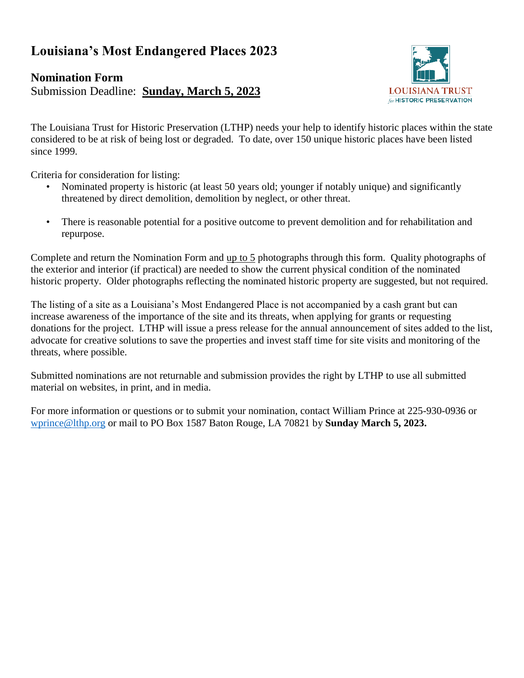## **Louisiana's Most Endangered Places 2023**

#### **Nomination Form**

Submission Deadline: **Sunday, March 5, 2023**



The Louisiana Trust for Historic Preservation (LTHP) needs your help to identify historic places within the state considered to be at risk of being lost or degraded. To date, over 150 unique historic places have been listed since 1999.

Criteria for consideration for listing:

- Nominated property is historic (at least 50 years old; younger if notably unique) and significantly threatened by direct demolition, demolition by neglect, or other threat.
- There is reasonable potential for a positive outcome to prevent demolition and for rehabilitation and repurpose.

Complete and return the Nomination Form and up to 5 photographs through this form. Quality photographs of the exterior and interior (if practical) are needed to show the current physical condition of the nominated historic property. Older photographs reflecting the nominated historic property are suggested, but not required.

The listing of a site as a Louisiana's Most Endangered Place is not accompanied by a cash grant but can increase awareness of the importance of the site and its threats, when applying for grants or requesting donations for the project. LTHP will issue a press release for the annual announcement of sites added to the list, advocate for creative solutions to save the properties and invest staff time for site visits and monitoring of the threats, where possible.

Submitted nominations are not returnable and submission provides the right by LTHP to use all submitted material on websites, in print, and in media.

For more information or questions or to submit your nomination, contact William Prince at 225-930-0936 or [wprince@lthp.org](mailto:wprince@lthp.org) or mail to PO Box 1587 Baton Rouge, LA 70821 by **Sunday March 5, 2023.**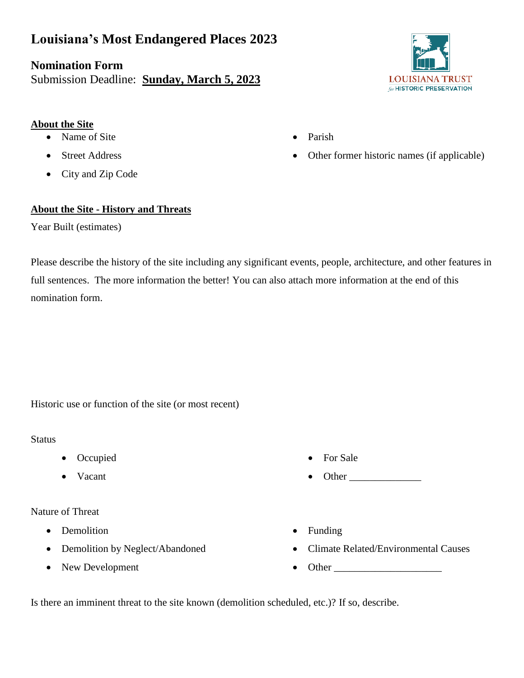## **Louisiana's Most Endangered Places 2023**

### **Nomination Form**

Submission Deadline: **Sunday, March 5, 2023**

# **LOUISIANA TRUST** for HISTORIC PRESERVATION

• Other former historic names (if applicable)

- **About the Site**
	- Name of Site
	- **Street Address**
	- City and Zip Code

#### **About the Site - History and Threats**

Year Built (estimates)

Please describe the history of the site including any significant events, people, architecture, and other features in full sentences. The more information the better! You can also attach more information at the end of this nomination form.

• Parish

Historic use or function of the site (or most recent)

#### **Status**

- Occupied
- Vacant

Nature of Threat

- Demolition
- Demolition by Neglect/Abandoned
- New Development
- For Sale
- Other
- Funding
- Climate Related/Environmental Causes
- Other  $\_$

Is there an imminent threat to the site known (demolition scheduled, etc.)? If so, describe.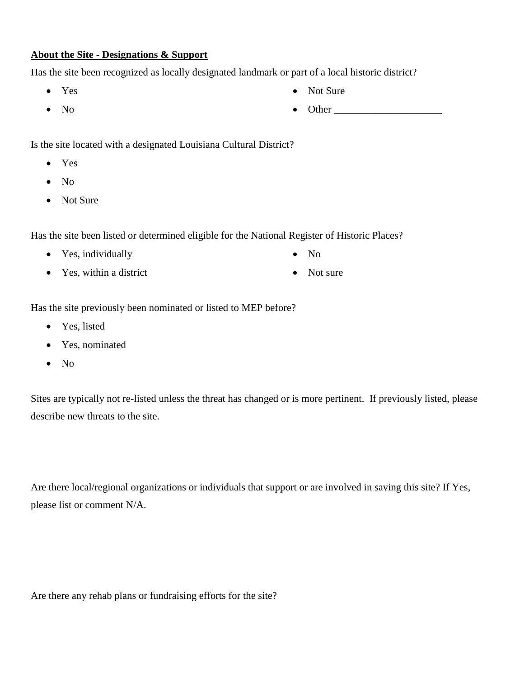#### **About the Site - Designations & Support**

Has the site been recognized as locally designated landmark or part of a local historic district?

- Yes
- No
- Is the site located with a designated Louisiana Cultural District?
	- Yes
	- No
	- Not Sure

Has the site been listed or determined eligible for the National Register of Historic Places?

- Yes, individually
- Yes, within a district
- No
- Not sure

Has the site previously been nominated or listed to MEP before?

- Yes, listed
- Yes, nominated
- No

Sites are typically not re-listed unless the threat has changed or is more pertinent. If previously listed, please describe new threats to the site.

Are there local/regional organizations or individuals that support or are involved in saving this site? If Yes, please list or comment N/A.

Are there any rehab plans or fundraising efforts for the site?

- Not Sure
- Other \_\_\_\_\_\_\_\_\_\_\_\_\_\_\_\_\_\_\_\_\_